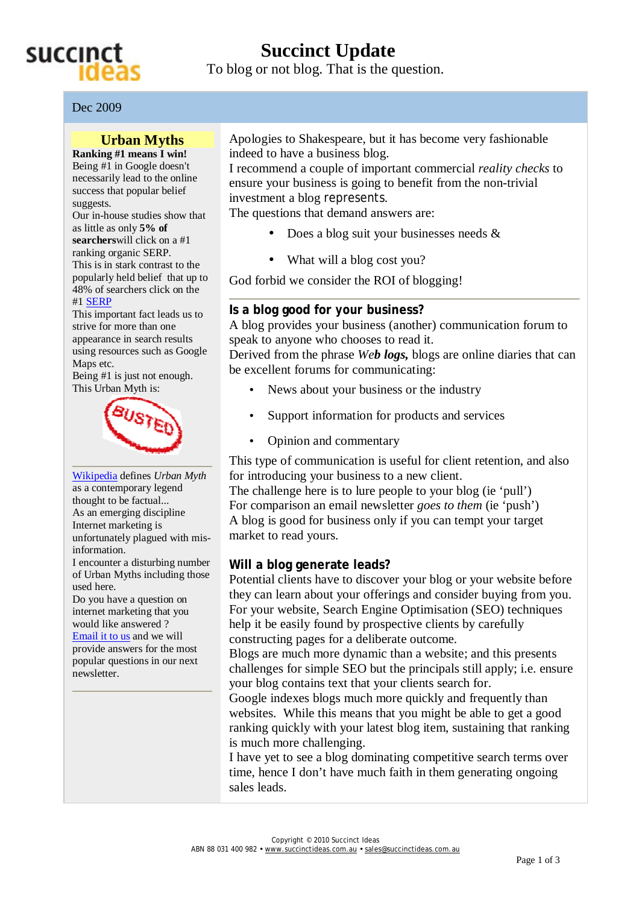

# **Succinct Update**

To blog or not blog. That is the question.

Dec 2009

### **Urban Myths**

**Ranking #1 means I win!** Being #1 in Google doesn't necessarily lead to the online success that popular belief suggests.

Our in-house studies show that as little as only **5% of searchers**will click on a #1

ranking organic SERP. This is in stark contrast to the popularly held belief that up to 48% of searchers click on the #1 SERP

This important fact leads us to strive for more than one appearance in search results using resources such as Google Maps etc.

Being #1 is just not enough. This Urban Myth is:



Wikipedia defines *Urban Myth* as a contemporary legend thought to be factual... As an emerging discipline Internet marketing is unfortunately plagued with misinformation.

I encounter a disturbing number of Urban Myths including those used here.

Do you have a question on internet marketing that you would like answered ? Email it to us and we will provide answers for the most popular questions in our next newsletter.

Apologies to Shakespeare, but it has become very fashionable indeed to have a business blog.

I recommend a couple of important commercial *reality checks* to ensure your business is going to benefit from the non-trivial investment a blog represents.

The questions that demand answers are:

- Does a blog suit your businesses needs  $\&$
- What will a blog cost you?

God forbid we consider the ROI of blogging!

#### **Is a blog good for** *your* **business?**

A blog provides your business (another) communication forum to speak to anyone who chooses to read it.

Derived from the phrase *Web logs,* blogs are online diaries that can be excellent forums for communicating:

- News about your business or the industry
- Support information for products and services
- Opinion and commentary

This type of communication is useful for client retention, and also for introducing your business to a new client.

The challenge here is to lure people to your blog (ie 'pull') For comparison an email newsletter *goes to them* (ie 'push') A blog is good for business only if you can tempt your target market to read yours.

#### **Will a blog generate leads?**

Potential clients have to discover your blog or your website before they can learn about your offerings and consider buying from you. For your website, Search Engine Optimisation (SEO) techniques help it be easily found by prospective clients by carefully constructing pages for a deliberate outcome.

Blogs are much more dynamic than a website; and this presents challenges for simple SEO but the principals still apply; i.e. ensure your blog contains text that your clients search for.

Google indexes blogs much more quickly and frequently than websites. While this means that you might be able to get a good ranking quickly with your latest blog item, sustaining that ranking is much more challenging.

I have yet to see a blog dominating competitive search terms over time, hence I don't have much faith in them generating ongoing sales leads.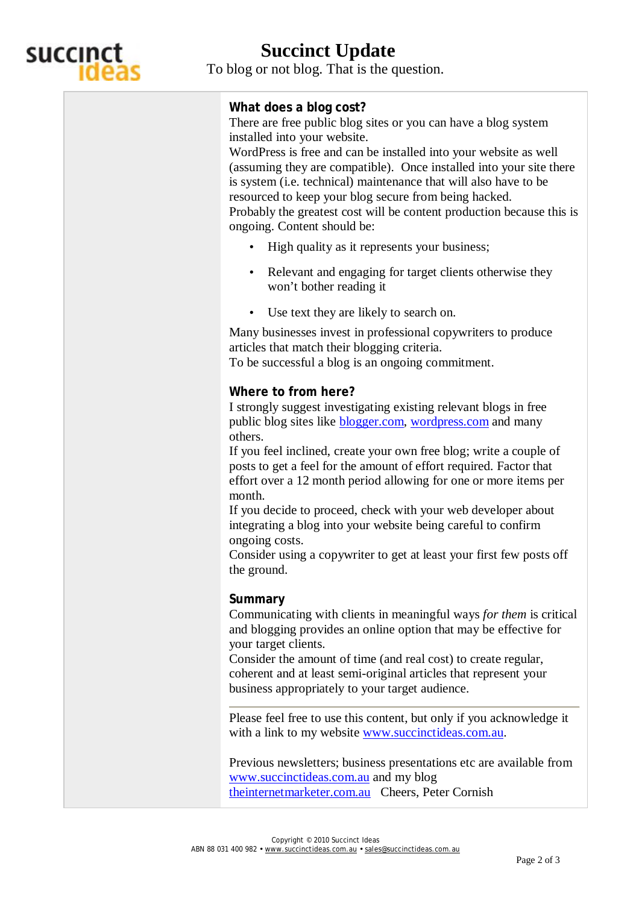

## **Succinct Update**

To blog or not blog. That is the question.

## **What does a blog cost?**

ongoing. Content should be:

There are free public blog sites or you can have a blog system installed into your website.

WordPress is free and can be installed into your website as well (assuming they are compatible). Once installed into your site there is system (i.e. technical) maintenance that will also have to be resourced to keep your blog secure from being hacked. Probably the greatest cost will be content production because this is

- High quality as it represents your business;
- Relevant and engaging for target clients otherwise they won't bother reading it
- Use text they are likely to search on.

Many businesses invest in professional copywriters to produce articles that match their blogging criteria. To be successful a blog is an ongoing commitment.

### **Where to from here?**

I strongly suggest investigating existing relevant blogs in free public blog sites like blogger.com, wordpress.com and many others.

If you feel inclined, create your own free blog; write a couple of posts to get a feel for the amount of effort required. Factor that effort over a 12 month period allowing for one or more items per month.

If you decide to proceed, check with your web developer about integrating a blog into your website being careful to confirm ongoing costs.

Consider using a copywriter to get at least your first few posts off the ground.

### **Summary**

Communicating with clients in meaningful ways *for them* is critical and blogging provides an online option that may be effective for your target clients.

Consider the amount of time (and real cost) to create regular, coherent and at least semi-original articles that represent your business appropriately to your target audience.

Please feel free to use this content, but only if you acknowledge it with a link to my website [www.succinctideas.com.au.](http://www.succinctideas.com.au)

Previous newsletters; business presentations etc are available from [www.succinctideas.com.au](http://www.succinctideas.com.au) and my blog theinternetmarketer.com.au Cheers, Peter Cornish